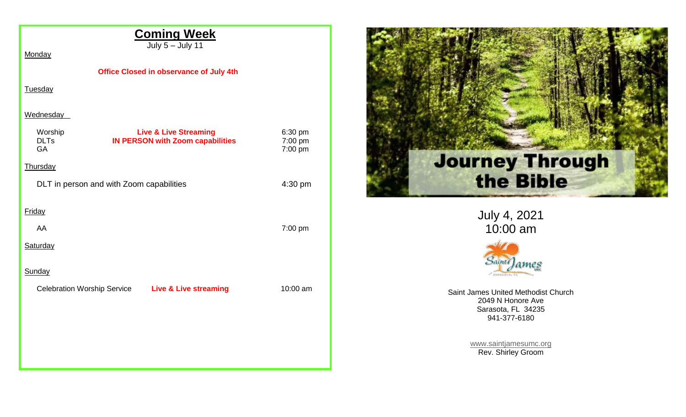| <b>Coming Week</b>                                     |          |
|--------------------------------------------------------|----------|
| July $5 -$ July 11<br>Monday                           |          |
|                                                        |          |
| <b>Office Closed in observance of July 4th</b>         |          |
| Tuesday                                                |          |
|                                                        |          |
| Wednesday                                              |          |
| Worship<br><b>Live &amp; Live Streaming</b>            | 6:30 pm  |
| <b>DLTs</b><br><b>IN PERSON with Zoom capabilities</b> | 7:00 pm  |
| <b>GA</b>                                              | 7:00 pm  |
| <b>Thursday</b>                                        |          |
| DLT in person and with Zoom capabilities               | 4:30 pm  |
|                                                        |          |
| Friday                                                 |          |
| AA                                                     | 7:00 pm  |
|                                                        |          |
| <b>Saturday</b>                                        |          |
|                                                        |          |
| Sunday                                                 |          |
| Celebration Worship Service Live & Live streaming      | 10:00 am |
|                                                        |          |
|                                                        |          |
|                                                        |          |
|                                                        |          |



July 4, 2021 10:00 am



Saint James United Methodist Church 2049 N Honore Ave Sarasota, FL 34235 941-377-6180

> [www.saintjamesumc.org](http://www.saintjamesumc.org/) Rev. Shirley Groom